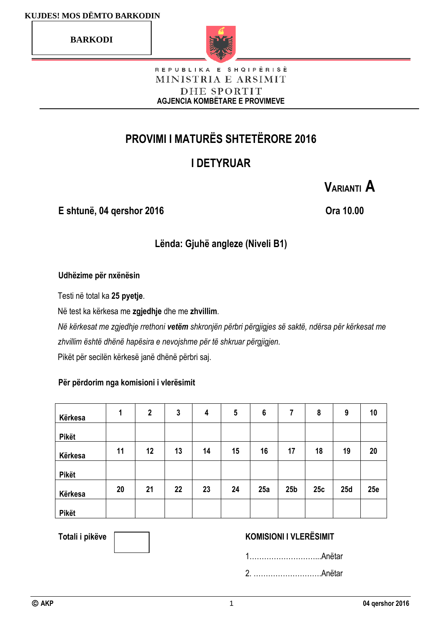**BARKODI**



#### REPUBLIKA E SHQIPËRISË MINISTRIA E ARSIMIT DHE SPORTIT **AGJENCIA KOMBËTARE E PROVIMEVE**

# **PROVIMI I MATURËS SHTETËRORE 2016**

# **I DETYRUAR**

**E shtunë, 04 qershor 2016 Ora 10.00**

**VARIANTI A**

## **Lënda: Gjuhë angleze (Niveli B1)**

#### **Udhëzime për nxënësin**

Testi në total ka **25 pyetje**.

Në test ka kërkesa me **zgjedhje** dhe me **zhvillim**.

*Në kërkesat me zgjedhje rrethoni vetëm shkronjën përbri përgjigjes së saktë, ndërsa për kërkesat me zhvillim është dhënë hapësira e nevojshme për të shkruar përgjigjen.* Pikët për secilën kërkesë janë dhënë përbri saj.

#### **Për përdorim nga komisioni i vlerësimit**

| Kërkesa      | 1  | $\boldsymbol{2}$ | $\mathbf{3}$ | 4  | 5  | $6\phantom{1}6$ | 7               | 8   | 9   | 10  |
|--------------|----|------------------|--------------|----|----|-----------------|-----------------|-----|-----|-----|
| <b>Pikët</b> |    |                  |              |    |    |                 |                 |     |     |     |
| Kërkesa      | 11 | 12               | 13           | 14 | 15 | 16              | 17              | 18  | 19  | 20  |
| <b>Pikët</b> |    |                  |              |    |    |                 |                 |     |     |     |
| Kërkesa      | 20 | 21               | 22           | 23 | 24 | 25a             | 25 <sub>b</sub> | 25c | 25d | 25e |
| <b>Pikët</b> |    |                  |              |    |    |                 |                 |     |     |     |

#### Totali i pikëve **Wissemson, KOMISIONI I VLERËSIMIT**

1………………………...Anëtar

2. ……………………….Anëtar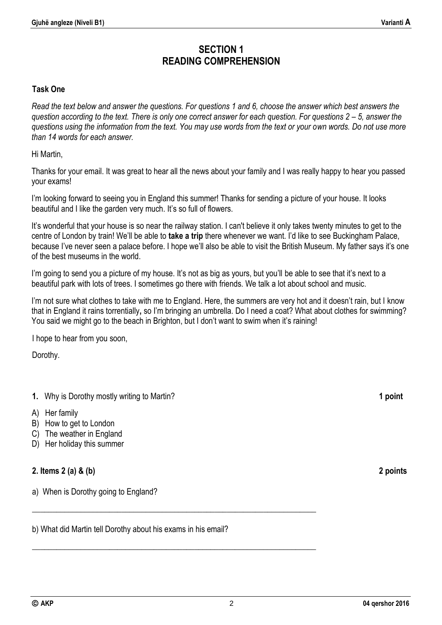## **SECTION 1 READING COMPREHENSION**

#### **Task One**

*Read the text below and answer the questions. For questions 1 and 6, choose the answer which best answers the guestion according to the text. There is only one correct answer for each question. For questions 2 – 5, answer the questions using the information from the text. You may use words from the text or your own words. Do not use more than 14 words for each answer.*

Hi Martin,

Thanks for your email. It was great to hear all the news about your family and I was really happy to hear you passed your exams!

I'm looking forward to seeing you in England this summer! Thanks for sending a picture of your house. It looks beautiful and I like the garden very much. It's so full of flowers.

It's wonderful that your house is so near the railway station. I can't believe it only takes twenty minutes to get to the centre of London by train! We'll be able to **take a trip** there whenever we want. I'd like to see Buckingham Palace, because I've never seen a palace before. I hope we'll also be able to visit the British Museum. My father says it's one of the best museums in the world.

I'm going to send you a picture of my house. It's not as big as yours, but you'll be able to see that it's next to a beautiful park with lots of trees. I sometimes go there with friends. We talk a lot about school and music.

I'm not sure what clothes to take with me to England. Here, the summers are very hot and it doesn't rain, but I know that in England it rains torrentially**,** so I'm bringing an umbrella. Do I need a coat? What about clothes for swimming? You said we might go to the beach in Brighton, but I don't want to swim when it's raining!

I hope to hear from you soon,

Dorothy.

#### **1.** Why is Dorothy mostly writing to Martin? **1 point**

- A) Her family
- B) How to get to London
- C) The weather in England
- D) Her holiday this summer

#### **2. Items 2 (a) & (b) 2 points**

a) When is Dorothy going to England?

b) What did Martin tell Dorothy about his exams in his email?

**\_\_\_\_\_\_\_\_\_\_\_\_\_\_\_\_\_\_\_\_\_\_\_\_\_\_\_\_\_\_\_\_\_\_\_\_\_\_\_\_\_\_\_\_\_\_\_\_\_\_\_\_\_\_\_\_\_\_\_\_\_\_\_\_\_\_\_\_\_\_** 

**\_\_\_\_\_\_\_\_\_\_\_\_\_\_\_\_\_\_\_\_\_\_\_\_\_\_\_\_\_\_\_\_\_\_\_\_\_\_\_\_\_\_\_\_\_\_\_\_\_\_\_\_\_\_\_\_\_\_\_\_\_\_\_\_\_\_\_\_\_\_**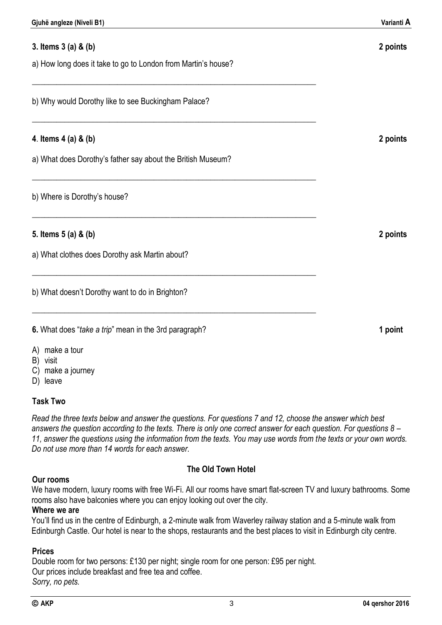## **3. Items 3 (a) & (b) 2 points**

a) How long does it take to go to London from Martin's house?

**\_\_\_\_\_\_\_\_\_\_\_\_\_\_\_\_\_\_\_\_\_\_\_\_\_\_\_\_\_\_\_\_\_\_\_\_\_\_\_\_\_\_\_\_\_\_\_\_\_\_\_\_\_\_\_\_\_\_\_\_\_\_\_\_\_\_\_\_\_\_**

**\_\_\_\_\_\_\_\_\_\_\_\_\_\_\_\_\_\_\_\_\_\_\_\_\_\_\_\_\_\_\_\_\_\_\_\_\_\_\_\_\_\_\_\_\_\_\_\_\_\_\_\_\_\_\_\_\_\_\_\_\_\_\_\_\_\_\_\_\_\_** 

**\_\_\_\_\_\_\_\_\_\_\_\_\_\_\_\_\_\_\_\_\_\_\_\_\_\_\_\_\_\_\_\_\_\_\_\_\_\_\_\_\_\_\_\_\_\_\_\_\_\_\_\_\_\_\_\_\_\_\_\_\_\_\_\_\_\_\_\_\_\_**

**\_\_\_\_\_\_\_\_\_\_\_\_\_\_\_\_\_\_\_\_\_\_\_\_\_\_\_\_\_\_\_\_\_\_\_\_\_\_\_\_\_\_\_\_\_\_\_\_\_\_\_\_\_\_\_\_\_\_\_\_\_\_\_\_\_\_\_\_\_\_**

**\_\_\_\_\_\_\_\_\_\_\_\_\_\_\_\_\_\_\_\_\_\_\_\_\_\_\_\_\_\_\_\_\_\_\_\_\_\_\_\_\_\_\_\_\_\_\_\_\_\_\_\_\_\_\_\_\_\_\_\_\_\_\_\_\_\_\_\_\_\_**

**\_\_\_\_\_\_\_\_\_\_\_\_\_\_\_\_\_\_\_\_\_\_\_\_\_\_\_\_\_\_\_\_\_\_\_\_\_\_\_\_\_\_\_\_\_\_\_\_\_\_\_\_\_\_\_\_\_\_\_\_\_\_\_\_\_\_\_\_\_\_**

b) Why would Dorothy like to see Buckingham Palace?

#### **4**. **Items 4 (a) & (b) 2 points**

a) What does Dorothy's father say about the British Museum?

b) Where is Dorothy's house?

#### **5. Items 5 (a) & (b) 2 points**

a) What clothes does Dorothy ask Martin about?

b) What doesn't Dorothy want to do in Brighton?

**6.** What does "*take a trip*" mean in the 3rd paragraph? **1 point**

- A) make a tour
- B) visit
- C) make a journey
- D) leave

#### **Task Two**

*Read the three texts below and answer the questions. For questions 7 and 12, choose the answer which best answers the question according to the texts. There is only one correct answer for each question. For questions 8 – 11, answer the questions using the information from the texts. You may use words from the texts or your own words. Do not use more than 14 words for each answer.*

#### **Our rooms**

#### **The Old Town Hotel**

We have modern, luxury rooms with free Wi-Fi. All our rooms have smart flat-screen TV and luxury bathrooms. Some rooms also have balconies where you can enjoy looking out over the city.

#### **Where we are**

You'll find us in the centre of Edinburgh, a 2-minute walk from Waverley railway station and a 5-minute walk from Edinburgh Castle. Our hotel is near to the shops, restaurants and the best places to visit in Edinburgh city centre.

#### **Prices**

Double room for two persons: £130 per night; single room for one person: £95 per night. Our prices include breakfast and free tea and coffee. *Sorry, no pets.*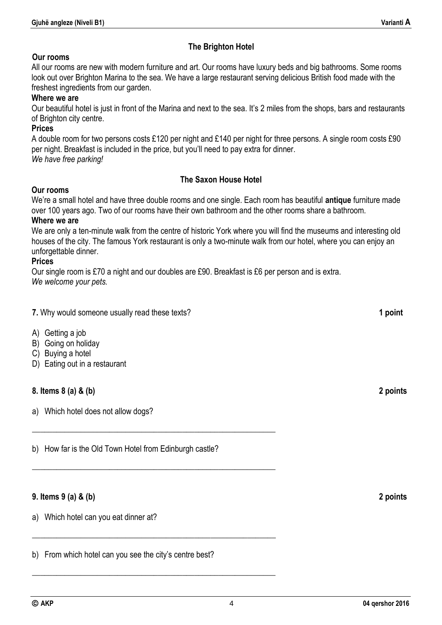#### **The Brighton Hotel**

#### **Our rooms**

All our rooms are new with modern furniture and art. Our rooms have luxury beds and big bathrooms. Some rooms look out over Brighton Marina to the sea. We have a large restaurant serving delicious British food made with the freshest ingredients from our garden.

#### **Where we are**

Our beautiful hotel is just in front of the Marina and next to the sea. It's 2 miles from the shops, bars and restaurants of Brighton city centre.

#### **Prices**

A double room for two persons costs £120 per night and £140 per night for three persons. A single room costs £90 per night. Breakfast is included in the price, but you'll need to pay extra for dinner. *We have free parking!*

#### **The Saxon House Hotel**

#### **Our rooms**

We're a small hotel and have three double rooms and one single. Each room has beautiful **antique** furniture made over 100 years ago. Two of our rooms have their own bathroom and the other rooms share a bathroom.

#### **Where we are**

We are only a ten-minute walk from the centre of historic York where you will find the museums and interesting old houses of the city. The famous York restaurant is only a two-minute walk from our hotel, where you can enjoy an unforgettable dinner.

#### **Prices**

Our single room is £70 a night and our doubles are £90. Breakfast is £6 per person and is extra. *We welcome your pets.* 

| 7. Why would someone usually read these texts? | 1 point |
|------------------------------------------------|---------|
|                                                |         |

- A) Getting a job
- B) Going on holiday
- C) Buying a hotel
- D) Eating out in a restaurant

#### **8. Items 8 (a) & (b) 2 points**

a) Which hotel does not allow dogs?

b) How far is the Old Town Hotel from Edinburgh castle?

\_\_\_\_\_\_\_\_\_\_\_\_\_\_\_\_\_\_\_\_\_\_\_\_\_\_\_\_\_\_\_\_\_\_\_\_\_\_\_\_\_\_\_\_\_\_\_\_\_\_\_\_\_\_\_\_\_\_\_\_

\_\_\_\_\_\_\_\_\_\_\_\_\_\_\_\_\_\_\_\_\_\_\_\_\_\_\_\_\_\_\_\_\_\_\_\_\_\_\_\_\_\_\_\_\_\_\_\_\_\_\_\_\_\_\_\_\_\_\_\_

\_\_\_\_\_\_\_\_\_\_\_\_\_\_\_\_\_\_\_\_\_\_\_\_\_\_\_\_\_\_\_\_\_\_\_\_\_\_\_\_\_\_\_\_\_\_\_\_\_\_\_\_\_\_\_\_\_\_\_\_

\_\_\_\_\_\_\_\_\_\_\_\_\_\_\_\_\_\_\_\_\_\_\_\_\_\_\_\_\_\_\_\_\_\_\_\_\_\_\_\_\_\_\_\_\_\_\_\_\_\_\_\_\_\_\_\_\_\_\_\_

#### **9. Items 9 (a) & (b) 2 points**

a) Which hotel can you eat dinner at?

b) From which hotel can you see the city's centre best?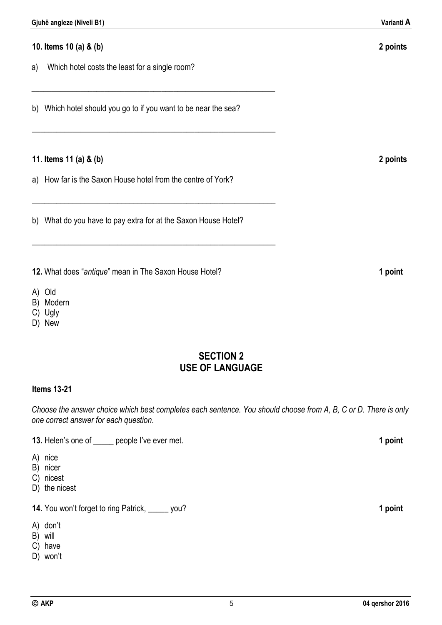**10. Items 10 (a) & (b) 2 points**

\_\_\_\_\_\_\_\_\_\_\_\_\_\_\_\_\_\_\_\_\_\_\_\_\_\_\_\_\_\_\_\_\_\_\_\_\_\_\_\_\_\_\_\_\_\_\_\_\_\_\_\_\_\_\_\_\_\_\_\_

a) Which hotel costs the least for a single room?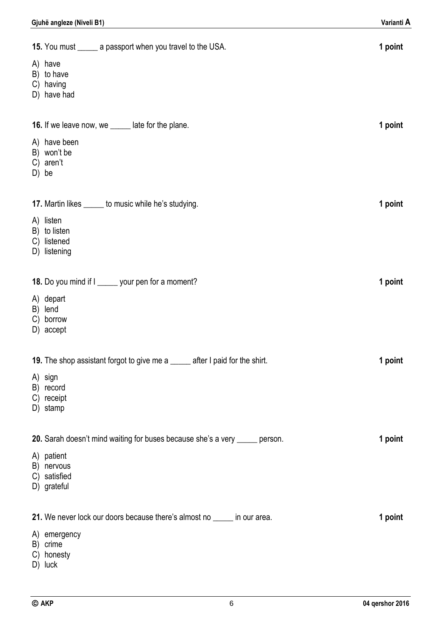| 15. You must _______ a passport when you travel to the USA.                  | 1 point |
|------------------------------------------------------------------------------|---------|
| A) have<br>B) to have<br>C) having<br>D) have had                            |         |
| <b>16.</b> If we leave now, we ______ late for the plane.                    | 1 point |
| A) have been<br>B) won't be<br>C) aren't<br>D) be                            |         |
| 17. Martin likes ______ to music while he's studying.                        | 1 point |
| A) listen<br>B) to listen<br>listened<br>C)<br>D) listening                  |         |
| 18. Do you mind if I ______ your pen for a moment?                           | 1 point |
| A) depart<br>B) lend<br>C) borrow<br>D) accept                               |         |
| 19. The shop assistant forgot to give me a _____ after I paid for the shirt. | 1 point |
| A) sign<br>B) record<br>C) receipt<br>D) stamp                               |         |
| 20. Sarah doesn't mind waiting for buses because she's a very _____ person.  | 1 point |
| A) patient<br>B) nervous<br>C) satisfied<br>D) grateful                      |         |
| 21. We never lock our doors because there's almost no ______ in our area.    | 1 point |
| A) emergency<br>B) crime<br>C) honesty                                       |         |

D) luck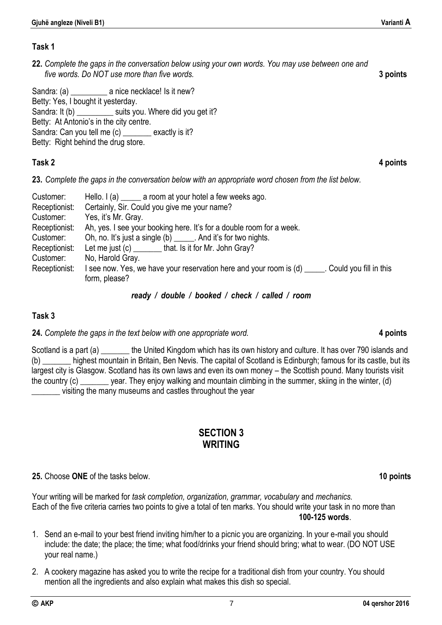#### **Task 1**

**22.** *Complete the gaps in the conversation below using your own words. You may use between one and five words. Do NOT use more than five words.* **3 points**

Sandra: (a) **a** nice necklace! Is it new? Betty: Yes, I bought it yesterday. Sandra: It (b) \_\_\_\_\_\_\_\_\_\_ suits you. Where did you get it? Betty: At Antonio's in the city centre. Sandra: Can you tell me (c) \_\_\_\_\_\_\_ exactly is it? Betty: Right behind the drug store.

### **Task 2 4 points**

**23.** *Complete the gaps in the conversation below with an appropriate word chosen from the list below.*

| Customer:     | Hello. $I(a)$ a room at your hotel a few weeks ago.                                                               |
|---------------|-------------------------------------------------------------------------------------------------------------------|
| Receptionist: | Certainly, Sir. Could you give me your name?                                                                      |
| Customer:     | Yes, it's Mr. Gray.                                                                                               |
| Receptionist: | Ah, yes. I see your booking here. It's for a double room for a week.                                              |
| Customer:     | Oh, no. It's just a single (b) ______. And it's for two nights.                                                   |
| Receptionist: | Let me just (c) ________that. Is it for Mr. John Gray?                                                            |
| Customer:     | No, Harold Gray.                                                                                                  |
| Receptionist: | I see now. Yes, we have your reservation here and your room is (d) _____. Could you fill in this<br>form, please? |

#### *ready / double / booked / check / called / room*

### **Task 3**

**24.** *Complete the gaps in the text below with one appropriate word.* **4 points**

Scotland is a part (a) \_\_\_\_\_\_\_ the United Kingdom which has its own history and culture. It has over 790 islands and (b) \_\_\_\_\_\_\_ highest mountain in Britain, Ben Nevis. The capital of Scotland is Edinburgh; famous for its castle, but its largest city is Glasgow. Scotland has its own laws and even its own money – the Scottish pound. Many tourists visit the country (c) \_\_\_\_\_\_\_ year. They enjoy walking and mountain climbing in the summer, skiing in the winter, (d) \_\_\_\_\_\_\_ visiting the many museums and castles throughout the year

## **SECTION 3 WRITING**

### **25.** Choose **ONE** of the tasks below. **10 points**

Your writing will be marked for *task completion, organization, grammar, vocabulary* and *mechanics.*  Each of the five criteria carries two points to give a total of ten marks. You should write your task in no more than **100-125 words**.

- 1. Send an e-mail to your best friend inviting him/her to a picnic you are organizing. In your e-mail you should include: the date; the place; the time; what food/drinks your friend should bring; what to wear. (DO NOT USE your real name.)
- 2. A cookery magazine has asked you to write the recipe for a traditional dish from your country. You should mention all the ingredients and also explain what makes this dish so special.